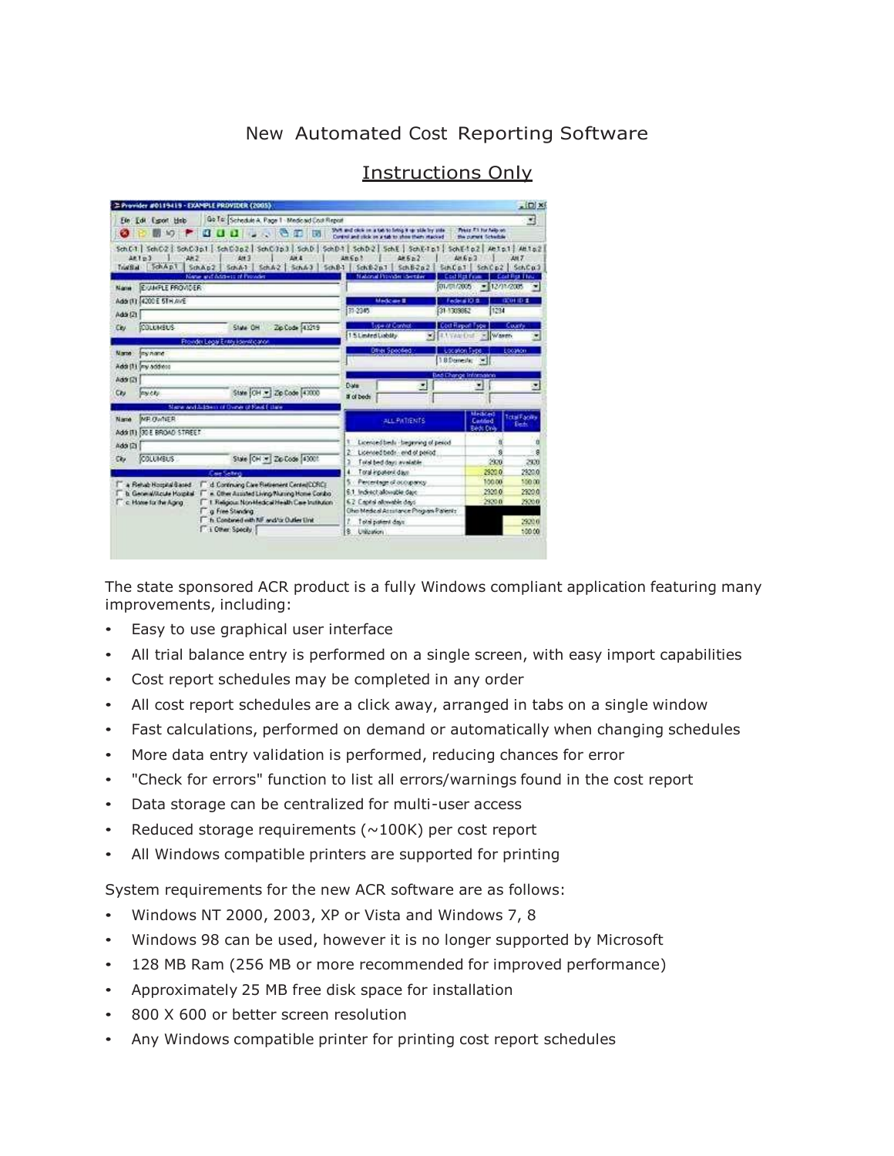## New Automated Cost Reporting Software

| Go To: Schedule A. Page 1 - Medicald Cost Report<br>Fin Edit<br>Esport Hob                                                                                                                                          |                                                                                         | 閚                                                   |
|---------------------------------------------------------------------------------------------------------------------------------------------------------------------------------------------------------------------|-----------------------------------------------------------------------------------------|-----------------------------------------------------|
| ex.<br>M3                                                                                                                                                                                                           | SNR and close on a tab to bring it up stile by side.                                    | Printer P.S. For Public and                         |
| <b>REGION CONSTRUCTION</b>                                                                                                                                                                                          | Control and olicic on a tab to show them stacked                                        | the purses Schedule                                 |
| SchC1   SchC2   SchC3p1   SchC3p2   SchC3p3   SchD   SchD1   SchD2   SchE1 SchE1p1   SchE1p2   Anto1   Anto2<br>40103<br>28.2<br>Air A<br>AM <sub>3</sub><br>SchApt<br>SchAp2 SchA1 SchA2 SchA3 SchB1<br>Trial Stat | 405 <sub>0</sub><br>ANEn?<br>Schiller.<br>Sch B-2 o 2<br>SinCo.T                        | 44663<br><b>ANT</b><br>SchC <sub>0</sub><br>SchiCo2 |
| Name and Address of Protective                                                                                                                                                                                      | <b>Malional Provider (Sertiller</b><br><b>Cod Rat F</b><br>01/01/2005                   | zak Pież I Takż<br>$= 12/12/2005$                   |
| <b>EVAMPLE PROVIDER</b><br><b>NAMES</b>                                                                                                                                                                             |                                                                                         |                                                     |
| Add (1) 4200 E 5TH AVE                                                                                                                                                                                              | Medicine #                                                                              | 0.0110-2<br>Federal (3.8                            |
| Add (2)                                                                                                                                                                                                             | 35-2345<br>31-133882                                                                    | 1234                                                |
| <b>COLUMBUS</b><br>Zip Code 143219<br>State OH<br>Cey                                                                                                                                                               | <b>Lice at Connot</b><br>Cost Report Focu<br>15 Limited Liability<br>50<br>4. USAN Duff | Court's<br>- Waren                                  |
| Provider Logal Entry Formitic and                                                                                                                                                                                   |                                                                                         | <b>EDOMOn</b>                                       |
| <b>Name</b><br><b>Jey name</b>                                                                                                                                                                                      | Dave Specient<br>18 Donestic<br>19                                                      |                                                     |
| Add (1) law addition                                                                                                                                                                                                |                                                                                         |                                                     |
| Addr (2)                                                                                                                                                                                                            | Date                                                                                    | Bad Change Information                              |
| State (CH - 2p Code 43000<br>michi<br>CN                                                                                                                                                                            | 酮<br># of bods                                                                          | ۳                                                   |
| Slape and Science of Duner of Paul Fillare                                                                                                                                                                          |                                                                                         | <b>Medicad</b>                                      |
| <b>NE QANER</b><br>Nista                                                                                                                                                                                            | <b>ALL PATIENTS</b>                                                                     | <b>Tickel Facility</b><br>Cantriod<br><b>Defi</b>   |
| Add II) 30 E BROAD STREET                                                                                                                                                                                           |                                                                                         | <b>Earth Circl</b>                                  |
| Add (2)                                                                                                                                                                                                             | Licensedbeds - beginning of peopd                                                       |                                                     |
| State CH :=   Zip Code   4300f<br>COLUMBUS<br>Cb.                                                                                                                                                                   | Licensed beds and of period                                                             | š<br>g<br>29.0                                      |
|                                                                                                                                                                                                                     | Total bed days available<br>Total input entitlem                                        | 2320<br>2920.0<br>2320.0                            |
| Cae Selvis                                                                                                                                                                                                          | Percentage of accopancy.                                                                | \$50.00<br>100.00                                   |
| A Relub Hossila Based<br>d. Continuing Claw Retoement Center(CCRC)<br>6.1 Indirect allowable date<br>b. General/Acute Moscillal<br>A. Other Assisted Living Musing Home Coniba                                      |                                                                                         | 2320.0<br>2320.0                                    |
| c. Hone for the Aging<br>T I Religious Non-Medical Health Care Institution                                                                                                                                          | 6.2 Capital allowable days                                                              | 2920.0<br>29200                                     |
| <b>Ta Free Standing</b>                                                                                                                                                                                             | Ühin Medical Assistance Program Patients                                                |                                                     |
| h. Contuned with NF and/or Outler Link                                                                                                                                                                              | rueb limited days                                                                       | 2920.0                                              |
| 1 Clear Specify                                                                                                                                                                                                     | 亳<br>Uniteation                                                                         | 10000                                               |

## Instructions Only

The state sponsored ACR product is a fully Windows compliant application featuring many improvements, including:

- Easy to use graphical user interface
- All trial balance entry is performed on a single screen, with easy import capabilities
- Cost report schedules may be completed in any order
- All cost report schedules are a click away, arranged in tabs on a single window
- Fast calculations, performed on demand or automatically when changing schedules
- More data entry validation is performed, reducing chances for error
- "Check for errors" function to list all errors/warnings found in the cost report
- Data storage can be centralized for multi-user access
- Reduced storage requirements ( $\sim$ 100K) per cost report
- All Windows compatible printers are supported for printing

System requirements for the new ACR software are as follows:

- Windows NT 2000, 2003, XP or Vista and Windows 7, 8
- Windows 98 can be used, however it is no longer supported by Microsoft
- 128 MB Ram (256 MB or more recommended for improved performance)
- Approximately 25 MB free disk space for installation
- 800 X 600 or better screen resolution
- Any Windows compatible printer for printing cost report schedules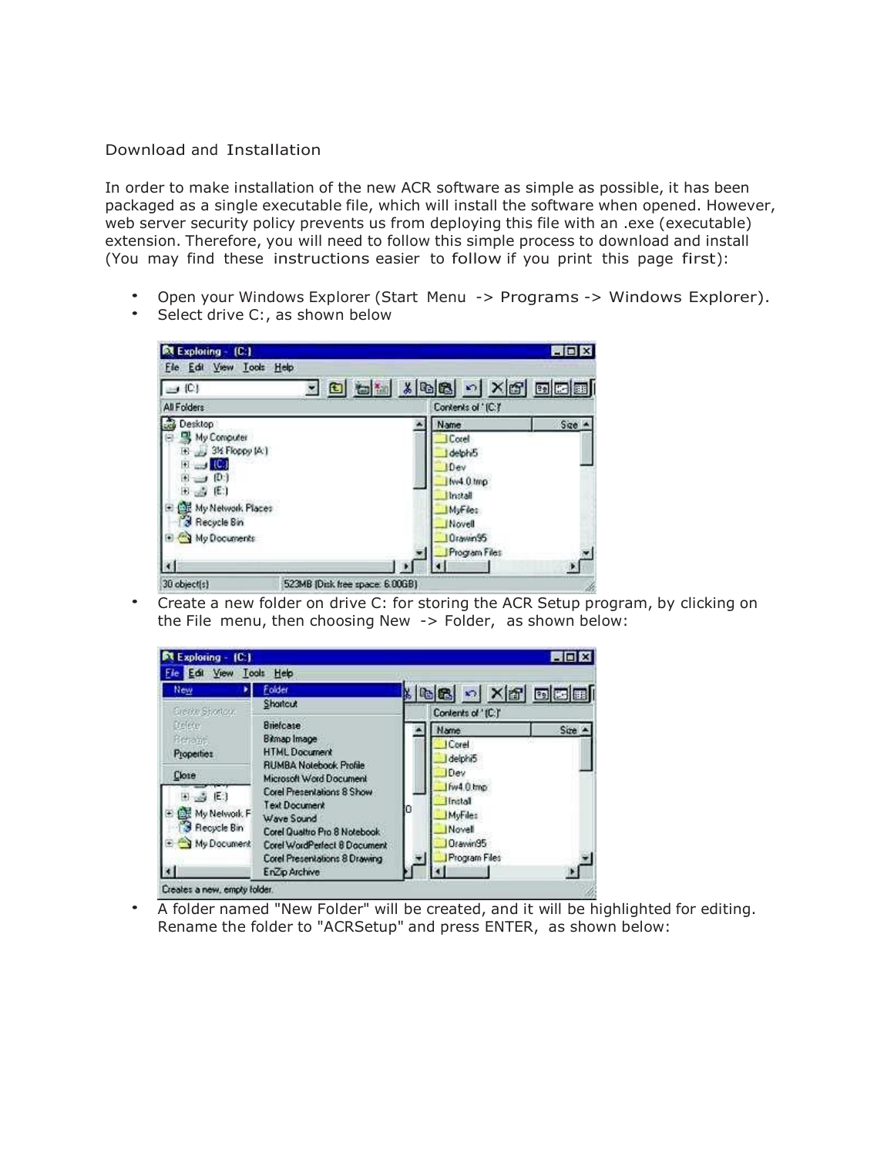## Download and Installation

In order to make installation of the new ACR software as simple as possible, it has been packaged as a single executable file, which will install the software when opened. However, web server security policy prevents us from deploying this file with an .exe (executable) extension. Therefore, you will need to follow this simple process to download and install (You may find these instructions easier to follow if you print this page first):

- Open your Windows Explorer (Start Menu -> Programs -> Windows Explorer).
- Select drive C:, as shown below



• Create a new folder on drive C: for storing the ACR Setup program, by clicking on the File menu, then choosing New -> Folder, as shown below:



• A folder named "New Folder" will be created, and it will be highlighted for editing. Rename the folder to "ACRSetup" and press ENTER, as shown below: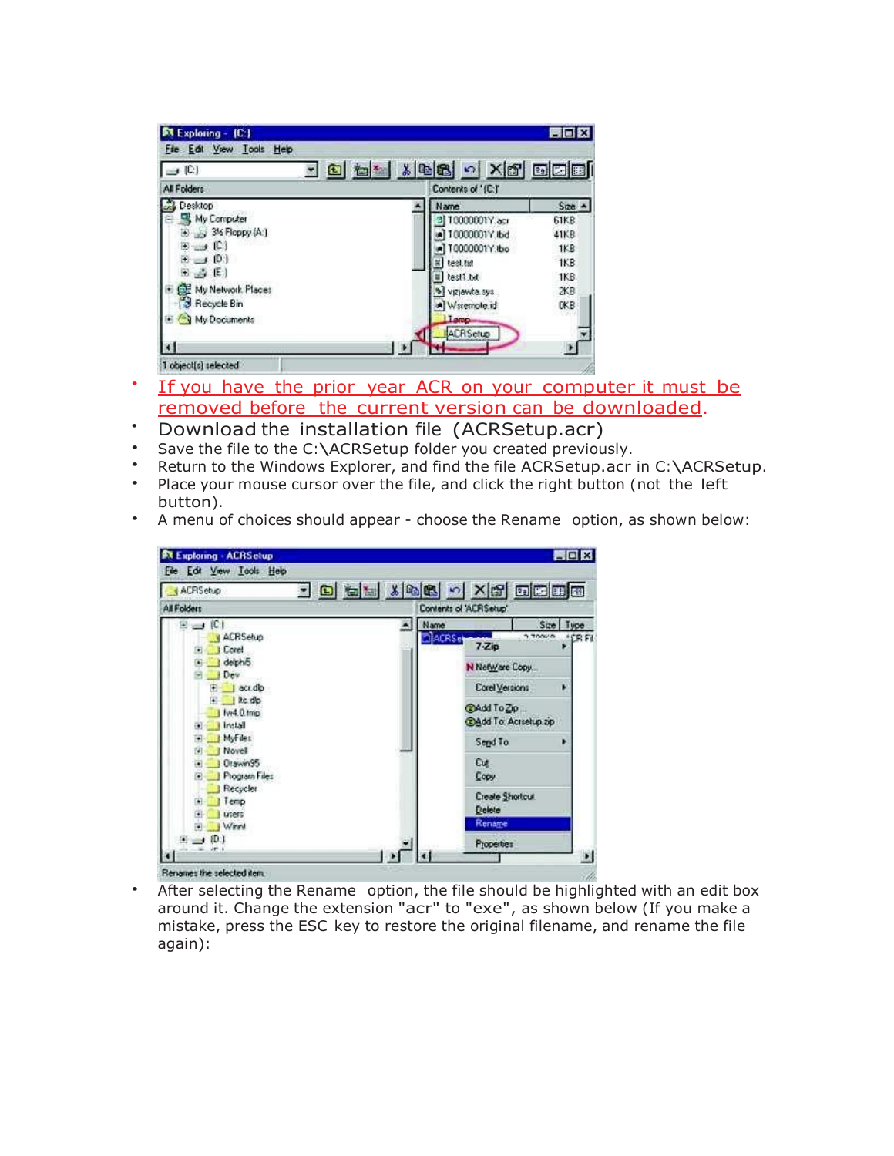| $\Box$ (C)                   | <u>- 8 4 % x 8 8 0 x 6 5 8 8 8 </u> |            |  |
|------------------------------|-------------------------------------|------------|--|
| All Folders                  | Contents of '(C.)'                  |            |  |
| Desktop                      | <b>Name</b>                         | $Size -$   |  |
| My Computer                  | 3 T0000001Y.acr                     | 61KB       |  |
| $\rightarrow$ 3% Floppy (A:) | 10000001Y.lbd                       | 41KB       |  |
| $E \rightarrow [C]$          | T0000001Y.bo                        | <b>1KB</b> |  |
| $E \rightarrow [0]$          | test txt                            | 1KB        |  |
| $E_{100}$ (E)                | test1.bd                            | 1KB        |  |
| My Network Places            | Vizjawka.sys                        | 2KR        |  |
| Recycle Bin                  | A Waterhole.id                      | <b>DKB</b> |  |
| My Documents                 | Lieno-                              |            |  |

- If you have the prior year ACR on your computer it must be removed before the current version can be downloaded.
- Download the installation file (ACRSetup.acr)
- Save the file to the C:\ACRSetup folder you created previously.
- Return to the Windows Explorer, and find the file ACRSetup.acr in C:\ACRSetup.
- Place your mouse cursor over the file, and click the right button (not the left button).
- A menu of choices should appear choose the Rename option, as shown below:



• After selecting the Rename option, the file should be highlighted with an edit box around it. Change the extension "acr" to "exe", as shown below (If you make a mistake, press the ESC key to restore the original filename, and rename the file again):